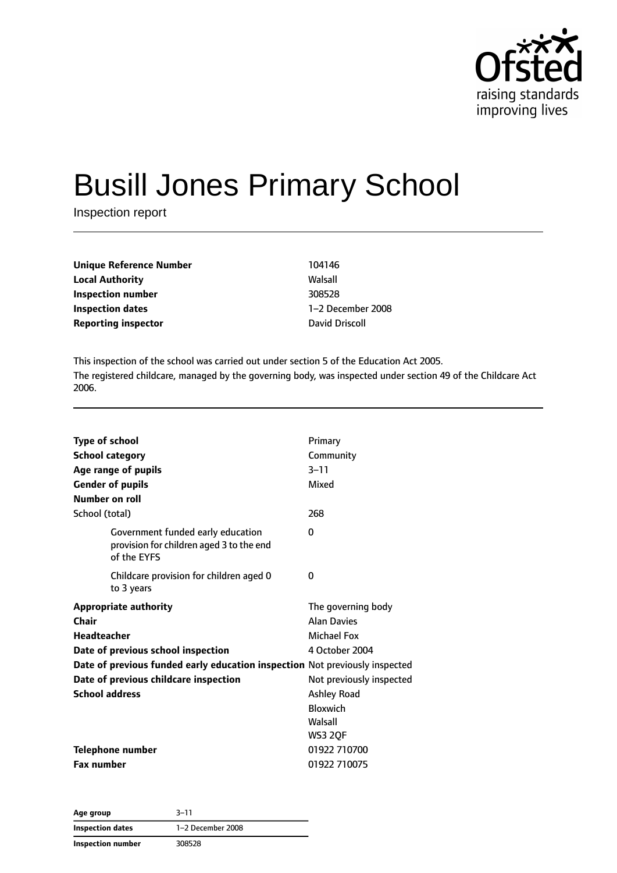

# Busill Jones Primary School

Inspection report

**Unique Reference Number** 104146 **Local Authority** Walsall **Inspection number** 308528 **Inspection dates** 1–2 December 2008 **Reporting inspector David Driscoll** 

This inspection of the school was carried out under section 5 of the Education Act 2005. The registered childcare, managed by the governing body, was inspected under section 49 of the Childcare Act 2006.

| <b>Type of school</b>                                                                        | Primary                  |
|----------------------------------------------------------------------------------------------|--------------------------|
| <b>School category</b>                                                                       | Community                |
| Age range of pupils                                                                          | $3 - 11$                 |
| <b>Gender of pupils</b>                                                                      | Mixed                    |
| Number on roll                                                                               |                          |
| School (total)                                                                               | 268                      |
| Government funded early education<br>provision for children aged 3 to the end<br>of the EYFS | $\Omega$                 |
| Childcare provision for children aged 0<br>to 3 years                                        | 0                        |
| <b>Appropriate authority</b>                                                                 | The governing body       |
| Chair                                                                                        | <b>Alan Davies</b>       |
| <b>Headteacher</b>                                                                           | Michael Fox              |
| Date of previous school inspection                                                           | 4 October 2004           |
| Date of previous funded early education inspection Not previously inspected                  |                          |
| Date of previous childcare inspection                                                        | Not previously inspected |
| <b>School address</b>                                                                        | <b>Ashley Road</b>       |
|                                                                                              | <b>Bloxwich</b>          |
|                                                                                              | Walsall                  |
|                                                                                              | <b>WS3 20F</b>           |
| <b>Telephone number</b>                                                                      | 01922 710700             |
| <b>Fax number</b>                                                                            | 01922 710075             |

**Age group** 3–11 **Inspection dates** 1–2 December 2008 **Inspection number** 308528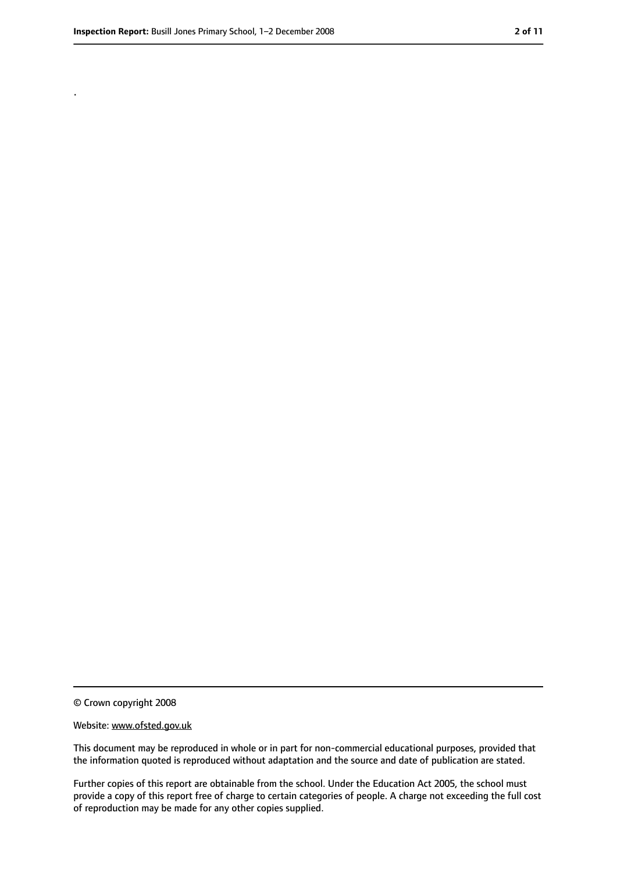.

<sup>©</sup> Crown copyright 2008

Website: www.ofsted.gov.uk

This document may be reproduced in whole or in part for non-commercial educational purposes, provided that the information quoted is reproduced without adaptation and the source and date of publication are stated.

Further copies of this report are obtainable from the school. Under the Education Act 2005, the school must provide a copy of this report free of charge to certain categories of people. A charge not exceeding the full cost of reproduction may be made for any other copies supplied.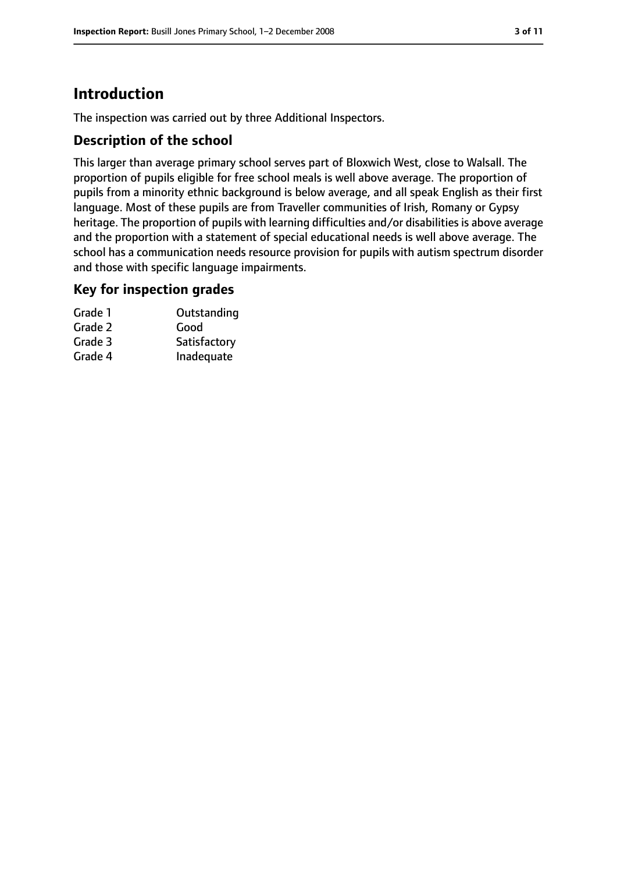# **Introduction**

The inspection was carried out by three Additional Inspectors.

## **Description of the school**

This larger than average primary school serves part of Bloxwich West, close to Walsall. The proportion of pupils eligible for free school meals is well above average. The proportion of pupils from a minority ethnic background is below average, and all speak English as their first language. Most of these pupils are from Traveller communities of Irish, Romany or Gypsy heritage. The proportion of pupils with learning difficulties and/or disabilities is above average and the proportion with a statement of special educational needs is well above average. The school has a communication needs resource provision for pupils with autism spectrum disorder and those with specific language impairments.

### **Key for inspection grades**

| Grade 1 | Outstanding  |
|---------|--------------|
| Grade 2 | Good         |
| Grade 3 | Satisfactory |
| Grade 4 | Inadequate   |
|         |              |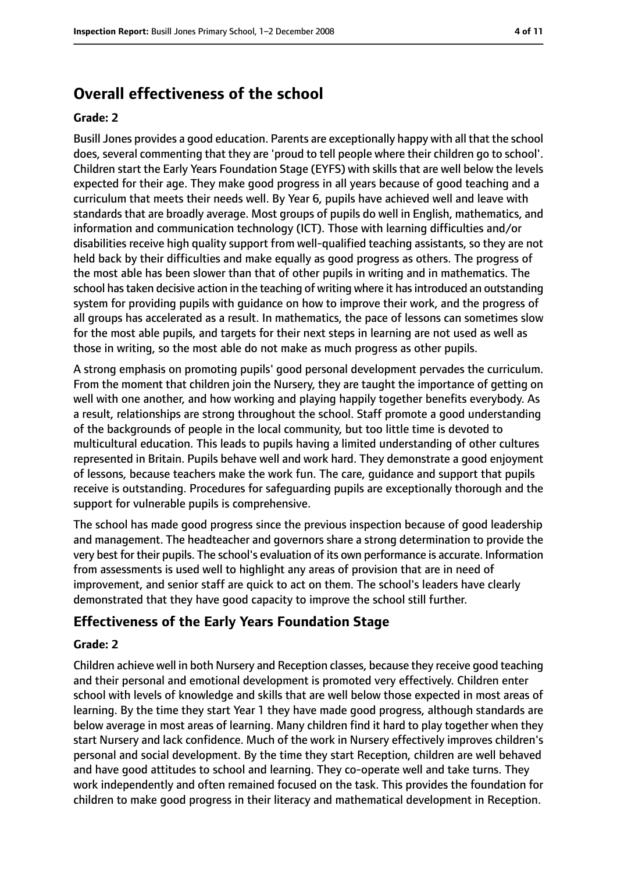# **Overall effectiveness of the school**

#### **Grade: 2**

Busill Jones provides a good education. Parents are exceptionally happy with all that the school does, several commenting that they are 'proud to tell people where their children go to school'. Children start the Early Years Foundation Stage (EYFS) with skills that are well below the levels expected for their age. They make good progress in all years because of good teaching and a curriculum that meets their needs well. By Year 6, pupils have achieved well and leave with standards that are broadly average. Most groups of pupils do well in English, mathematics, and information and communication technology (ICT). Those with learning difficulties and/or disabilities receive high quality support from well-qualified teaching assistants, so they are not held back by their difficulties and make equally as good progress as others. The progress of the most able has been slower than that of other pupils in writing and in mathematics. The school has taken decisive action in the teaching of writing where it has introduced an outstanding system for providing pupils with guidance on how to improve their work, and the progress of all groups has accelerated as a result. In mathematics, the pace of lessons can sometimes slow for the most able pupils, and targets for their next steps in learning are not used as well as those in writing, so the most able do not make as much progress as other pupils.

A strong emphasis on promoting pupils' good personal development pervades the curriculum. From the moment that children join the Nursery, they are taught the importance of getting on well with one another, and how working and playing happily together benefits everybody. As a result, relationships are strong throughout the school. Staff promote a good understanding of the backgrounds of people in the local community, but too little time is devoted to multicultural education. This leads to pupils having a limited understanding of other cultures represented in Britain. Pupils behave well and work hard. They demonstrate a good enjoyment of lessons, because teachers make the work fun. The care, guidance and support that pupils receive is outstanding. Procedures for safeguarding pupils are exceptionally thorough and the support for vulnerable pupils is comprehensive.

The school has made good progress since the previous inspection because of good leadership and management. The headteacher and governors share a strong determination to provide the very best for their pupils. The school's evaluation of its own performance is accurate. Information from assessments is used well to highlight any areas of provision that are in need of improvement, and senior staff are quick to act on them. The school's leaders have clearly demonstrated that they have good capacity to improve the school still further.

### **Effectiveness of the Early Years Foundation Stage**

#### **Grade: 2**

Children achieve well in both Nursery and Reception classes, because they receive good teaching and their personal and emotional development is promoted very effectively. Children enter school with levels of knowledge and skills that are well below those expected in most areas of learning. By the time they start Year 1 they have made good progress, although standards are below average in most areas of learning. Many children find it hard to play together when they start Nursery and lack confidence. Much of the work in Nursery effectively improves children's personal and social development. By the time they start Reception, children are well behaved and have good attitudes to school and learning. They co-operate well and take turns. They work independently and often remained focused on the task. This provides the foundation for children to make good progress in their literacy and mathematical development in Reception.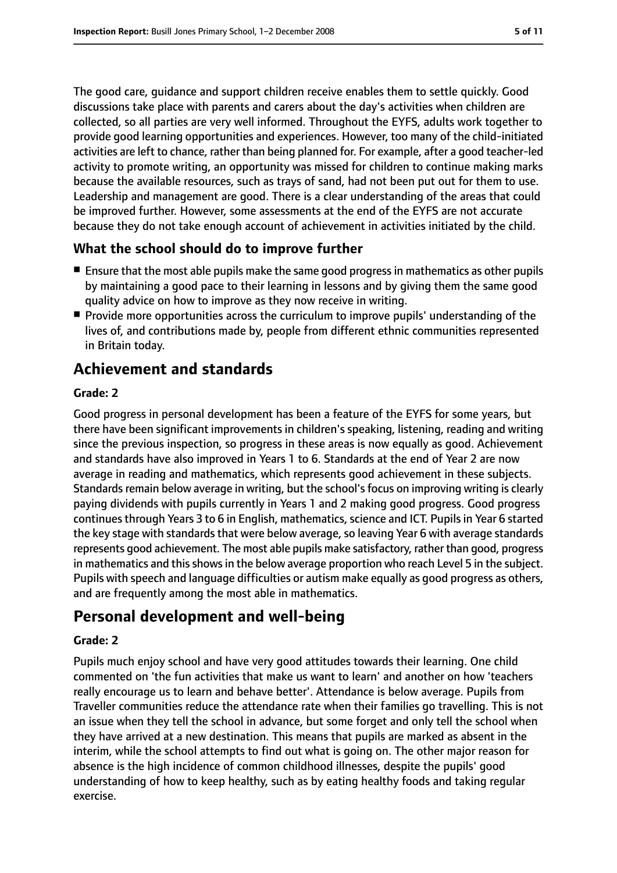The good care, guidance and support children receive enables them to settle quickly. Good discussions take place with parents and carers about the day's activities when children are collected, so all parties are very well informed. Throughout the EYFS, adults work together to provide good learning opportunities and experiences. However, too many of the child-initiated activities are left to chance, rather than being planned for. For example, after a good teacher-led activity to promote writing, an opportunity was missed for children to continue making marks because the available resources, such as trays of sand, had not been put out for them to use. Leadership and management are good. There is a clear understanding of the areas that could be improved further. However, some assessments at the end of the EYFS are not accurate because they do not take enough account of achievement in activities initiated by the child.

## **What the school should do to improve further**

- Ensure that the most able pupils make the same good progress in mathematics as other pupils by maintaining a good pace to their learning in lessons and by giving them the same good quality advice on how to improve as they now receive in writing.
- Provide more opportunities across the curriculum to improve pupils' understanding of the lives of, and contributions made by, people from different ethnic communities represented in Britain today.

# **Achievement and standards**

#### **Grade: 2**

Good progress in personal development has been a feature of the EYFS for some years, but there have been significant improvements in children's speaking, listening, reading and writing since the previous inspection, so progress in these areas is now equally as good. Achievement and standards have also improved in Years 1 to 6. Standards at the end of Year 2 are now average in reading and mathematics, which represents good achievement in these subjects. Standards remain below average in writing, but the school's focus on improving writing is clearly paying dividends with pupils currently in Years 1 and 2 making good progress. Good progress continues through Years 3 to 6 in English, mathematics, science and ICT. Pupils in Year 6 started the key stage with standards that were below average, so leaving Year 6 with average standards represents good achievement. The most able pupils make satisfactory, rather than good, progress in mathematics and this shows in the below average proportion who reach Level 5 in the subject. Pupils with speech and language difficulties or autism make equally as good progress as others, and are frequently among the most able in mathematics.

# **Personal development and well-being**

#### **Grade: 2**

Pupils much enjoy school and have very good attitudes towards their learning. One child commented on 'the fun activities that make us want to learn' and another on how 'teachers really encourage us to learn and behave better'. Attendance is below average. Pupils from Traveller communities reduce the attendance rate when their families go travelling. This is not an issue when they tell the school in advance, but some forget and only tell the school when they have arrived at a new destination. This means that pupils are marked as absent in the interim, while the school attempts to find out what is going on. The other major reason for absence is the high incidence of common childhood illnesses, despite the pupils' good understanding of how to keep healthy, such as by eating healthy foods and taking regular exercise.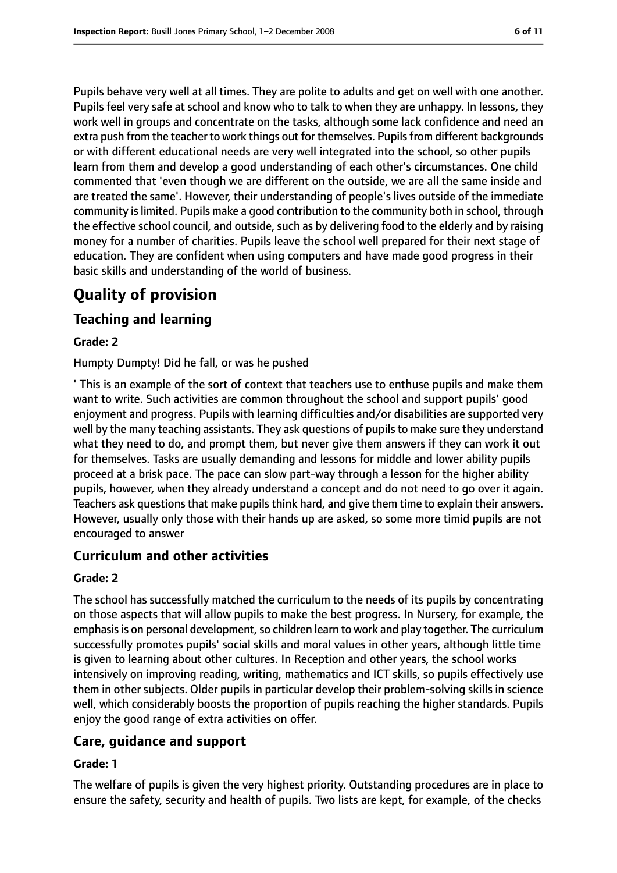Pupils behave very well at all times. They are polite to adults and get on well with one another. Pupils feel very safe at school and know who to talk to when they are unhappy. In lessons, they work well in groups and concentrate on the tasks, although some lack confidence and need an extra push from the teacher to work things out for themselves. Pupils from different backgrounds or with different educational needs are very well integrated into the school, so other pupils learn from them and develop a good understanding of each other's circumstances. One child commented that 'even though we are different on the outside, we are all the same inside and are treated the same'. However, their understanding of people's lives outside of the immediate community islimited. Pupils make a good contribution to the community both in school, through the effective school council, and outside, such as by delivering food to the elderly and by raising money for a number of charities. Pupils leave the school well prepared for their next stage of education. They are confident when using computers and have made good progress in their basic skills and understanding of the world of business.

# **Quality of provision**

## **Teaching and learning**

#### **Grade: 2**

Humpty Dumpty! Did he fall, or was he pushed

' This is an example of the sort of context that teachers use to enthuse pupils and make them want to write. Such activities are common throughout the school and support pupils' good enjoyment and progress. Pupils with learning difficulties and/or disabilities are supported very well by the many teaching assistants. They ask questions of pupils to make sure they understand what they need to do, and prompt them, but never give them answers if they can work it out for themselves. Tasks are usually demanding and lessons for middle and lower ability pupils proceed at a brisk pace. The pace can slow part-way through a lesson for the higher ability pupils, however, when they already understand a concept and do not need to go over it again. Teachers ask questions that make pupils think hard, and give them time to explain their answers. However, usually only those with their hands up are asked, so some more timid pupils are not encouraged to answer

### **Curriculum and other activities**

#### **Grade: 2**

The school has successfully matched the curriculum to the needs of its pupils by concentrating on those aspects that will allow pupils to make the best progress. In Nursery, for example, the emphasis is on personal development, so children learn to work and play together. The curriculum successfully promotes pupils' social skills and moral values in other years, although little time is given to learning about other cultures. In Reception and other years, the school works intensively on improving reading, writing, mathematics and ICT skills, so pupils effectively use them in other subjects. Older pupils in particular develop their problem-solving skills in science well, which considerably boosts the proportion of pupils reaching the higher standards. Pupils enjoy the good range of extra activities on offer.

### **Care, guidance and support**

#### **Grade: 1**

The welfare of pupils is given the very highest priority. Outstanding procedures are in place to ensure the safety, security and health of pupils. Two lists are kept, for example, of the checks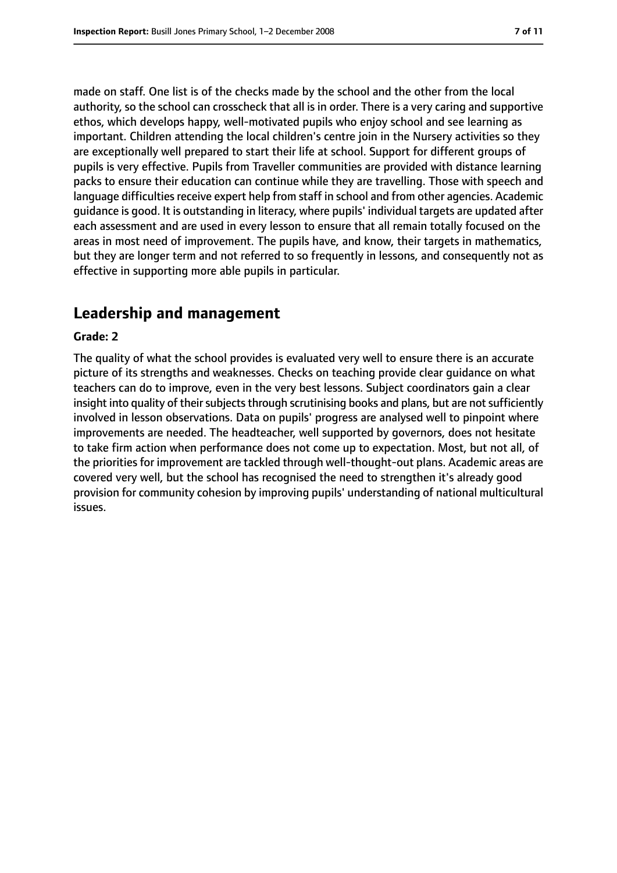made on staff. One list is of the checks made by the school and the other from the local authority, so the school can crosscheck that all is in order. There is a very caring and supportive ethos, which develops happy, well-motivated pupils who enjoy school and see learning as important. Children attending the local children's centre join in the Nursery activities so they are exceptionally well prepared to start their life at school. Support for different groups of pupils is very effective. Pupils from Traveller communities are provided with distance learning packs to ensure their education can continue while they are travelling. Those with speech and language difficulties receive expert help from staff in school and from other agencies. Academic guidance is good. It is outstanding in literacy, where pupils' individual targets are updated after each assessment and are used in every lesson to ensure that all remain totally focused on the areas in most need of improvement. The pupils have, and know, their targets in mathematics, but they are longer term and not referred to so frequently in lessons, and consequently not as effective in supporting more able pupils in particular.

# **Leadership and management**

#### **Grade: 2**

The quality of what the school provides is evaluated very well to ensure there is an accurate picture of its strengths and weaknesses. Checks on teaching provide clear guidance on what teachers can do to improve, even in the very best lessons. Subject coordinators gain a clear insight into quality of their subjects through scrutinising books and plans, but are not sufficiently involved in lesson observations. Data on pupils' progress are analysed well to pinpoint where improvements are needed. The headteacher, well supported by governors, does not hesitate to take firm action when performance does not come up to expectation. Most, but not all, of the priorities for improvement are tackled through well-thought-out plans. Academic areas are covered very well, but the school has recognised the need to strengthen it's already good provision for community cohesion by improving pupils' understanding of national multicultural issues.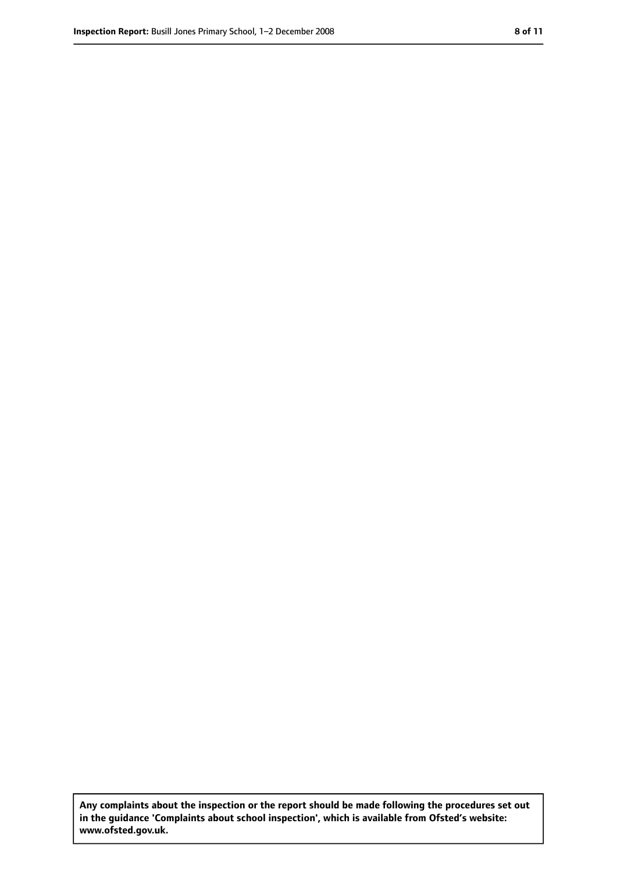**Any complaints about the inspection or the report should be made following the procedures set out in the guidance 'Complaints about school inspection', which is available from Ofsted's website: www.ofsted.gov.uk.**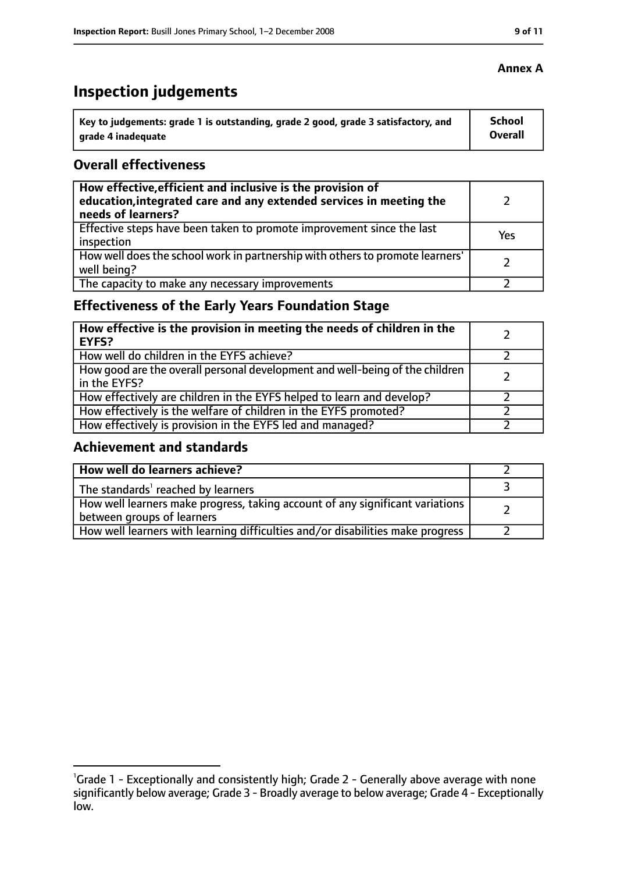# **Inspection judgements**

| Key to judgements: grade 1 is outstanding, grade 2 good, grade 3 satisfactory, and | School  |
|------------------------------------------------------------------------------------|---------|
| arade 4 inadequate                                                                 | Overall |

## **Overall effectiveness**

| How effective, efficient and inclusive is the provision of<br>education, integrated care and any extended services in meeting the<br>needs of learners? |     |
|---------------------------------------------------------------------------------------------------------------------------------------------------------|-----|
| Effective steps have been taken to promote improvement since the last<br>inspection                                                                     | Yes |
| How well does the school work in partnership with others to promote learners'<br>well being?                                                            |     |
| The capacity to make any necessary improvements                                                                                                         |     |

# **Effectiveness of the Early Years Foundation Stage**

| How effective is the provision in meeting the needs of children in the<br><b>EYFS?</b>       |  |
|----------------------------------------------------------------------------------------------|--|
| How well do children in the EYFS achieve?                                                    |  |
| How good are the overall personal development and well-being of the children<br>in the EYFS? |  |
| How effectively are children in the EYFS helped to learn and develop?                        |  |
| How effectively is the welfare of children in the EYFS promoted?                             |  |
| How effectively is provision in the EYFS led and managed?                                    |  |

## **Achievement and standards**

| How well do learners achieve?                                                                               |  |
|-------------------------------------------------------------------------------------------------------------|--|
| The standards <sup>1</sup> reached by learners                                                              |  |
| How well learners make progress, taking account of any significant variations<br>between groups of learners |  |
| How well learners with learning difficulties and/or disabilities make progress                              |  |

## **Annex A**

<sup>&</sup>lt;sup>1</sup>Grade 1 - Exceptionally and consistently high; Grade 2 - Generally above average with none significantly below average; Grade 3 - Broadly average to below average; Grade 4 - Exceptionally low.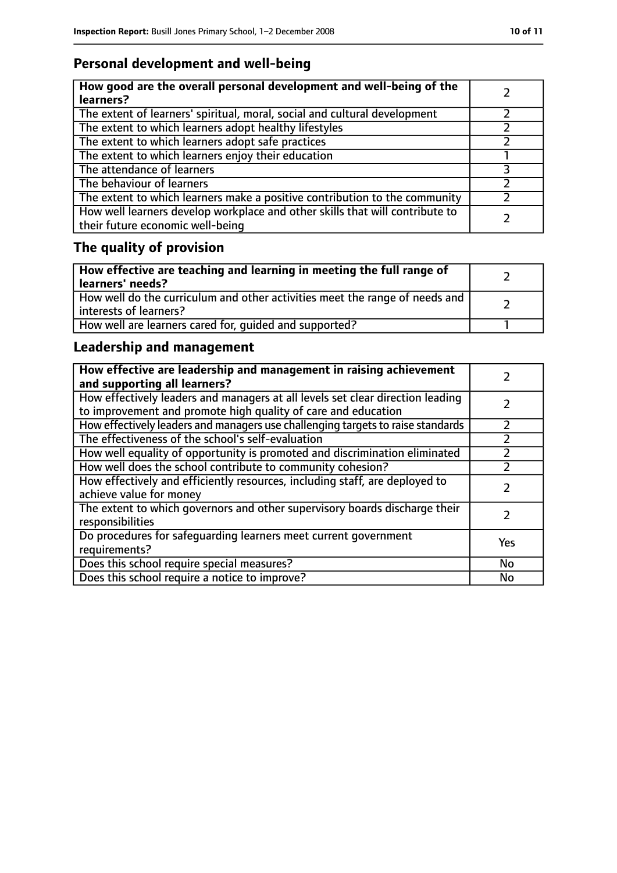# **Personal development and well-being**

| How good are the overall personal development and well-being of the<br>learners?                                 |  |
|------------------------------------------------------------------------------------------------------------------|--|
| The extent of learners' spiritual, moral, social and cultural development                                        |  |
| The extent to which learners adopt healthy lifestyles                                                            |  |
| The extent to which learners adopt safe practices                                                                |  |
| The extent to which learners enjoy their education                                                               |  |
| The attendance of learners                                                                                       |  |
| The behaviour of learners                                                                                        |  |
| The extent to which learners make a positive contribution to the community                                       |  |
| How well learners develop workplace and other skills that will contribute to<br>their future economic well-being |  |

# **The quality of provision**

| How effective are teaching and learning in meeting the full range of<br>learners' needs?              |  |
|-------------------------------------------------------------------------------------------------------|--|
| How well do the curriculum and other activities meet the range of needs and<br>interests of learners? |  |
| How well are learners cared for, quided and supported?                                                |  |

# **Leadership and management**

| How effective are leadership and management in raising achievement<br>and supporting all learners?                                              |     |
|-------------------------------------------------------------------------------------------------------------------------------------------------|-----|
| How effectively leaders and managers at all levels set clear direction leading<br>to improvement and promote high quality of care and education |     |
| How effectively leaders and managers use challenging targets to raise standards                                                                 |     |
| The effectiveness of the school's self-evaluation                                                                                               |     |
| How well equality of opportunity is promoted and discrimination eliminated                                                                      |     |
| How well does the school contribute to community cohesion?                                                                                      |     |
| How effectively and efficiently resources, including staff, are deployed to<br>achieve value for money                                          |     |
| The extent to which governors and other supervisory boards discharge their<br>responsibilities                                                  |     |
| Do procedures for safequarding learners meet current government<br>requirements?                                                                | Yes |
| Does this school require special measures?                                                                                                      | No  |
| Does this school require a notice to improve?                                                                                                   | No  |